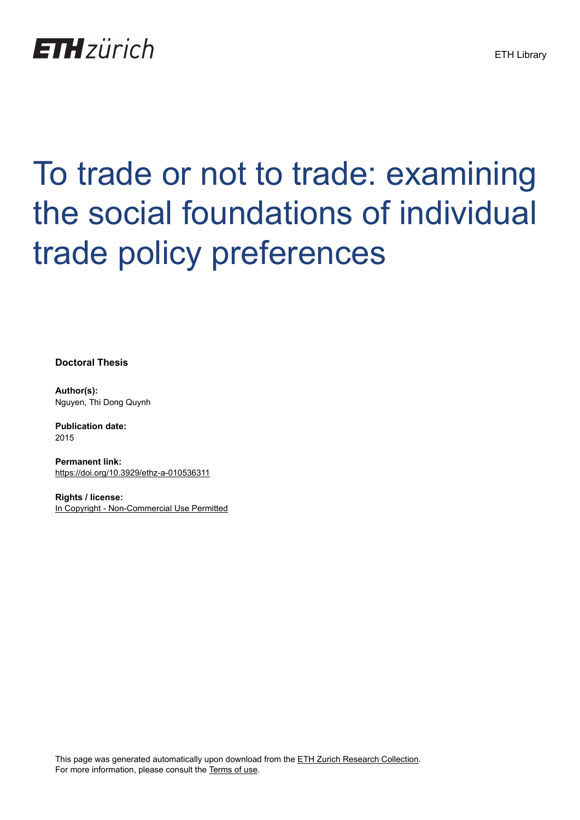

# To trade or not to trade: examining the social foundations of individual trade policy preferences

**Doctoral Thesis**

**Author(s):** Nguyen, Thi Dong Quynh

**Publication date:** 2015

**Permanent link:** <https://doi.org/10.3929/ethz-a-010536311>

**Rights / license:** [In Copyright - Non-Commercial Use Permitted](http://rightsstatements.org/page/InC-NC/1.0/)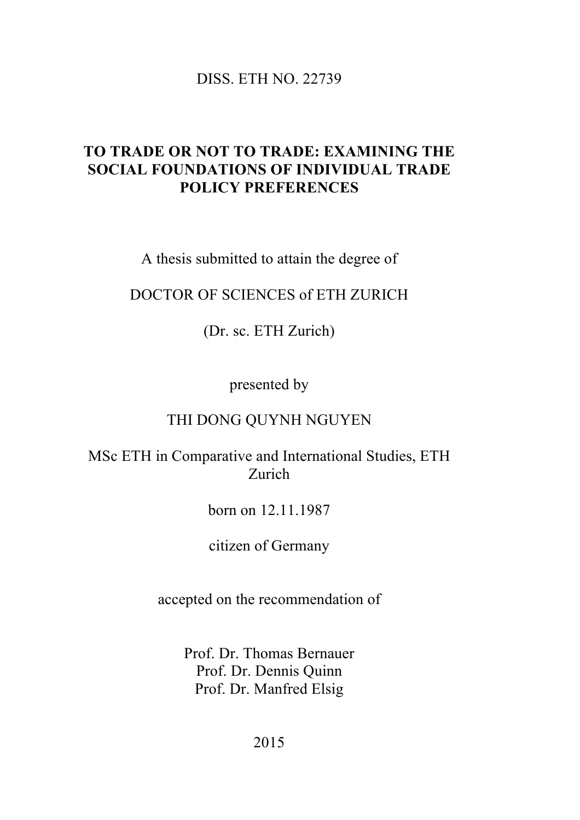#### DISS. ETH NO. 22739

## **TO TRADE OR NOT TO TRADE: EXAMINING THE SOCIAL FOUNDATIONS OF INDIVIDUAL TRADE POLICY PREFERENCES**

A thesis submitted to attain the degree of

## DOCTOR OF SCIENCES of ETH ZURICH

(Dr. sc. ETH Zurich)

presented by

#### THI DONG QUYNH NGUYEN

### MSc ETH in Comparative and International Studies, ETH Zurich

born on 12.11.1987

citizen of Germany

accepted on the recommendation of

Prof. Dr. Thomas Bernauer Prof. Dr. Dennis Quinn Prof. Dr. Manfred Elsig

2015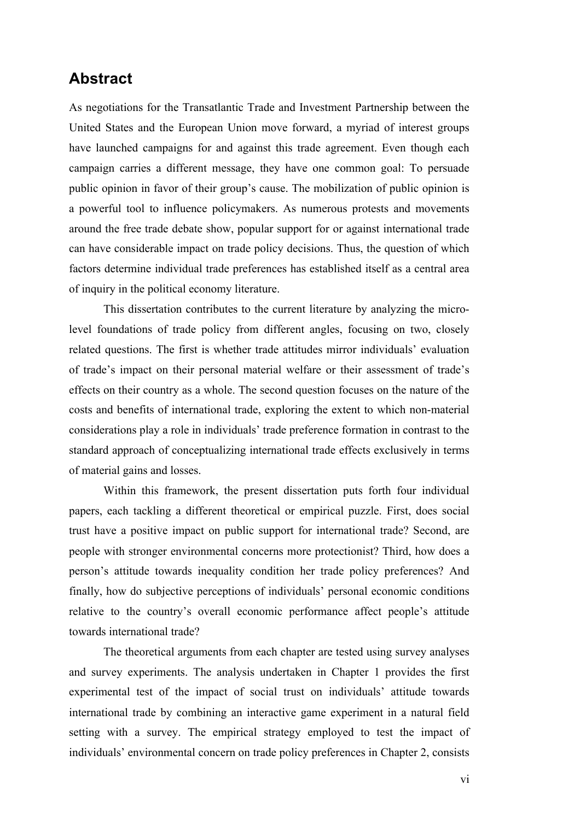#### **Abstract**

As negotiations for the Transatlantic Trade and Investment Partnership between the United States and the European Union move forward, a myriad of interest groups have launched campaigns for and against this trade agreement. Even though each campaign carries a different message, they have one common goal: To persuade public opinion in favor of their group's cause. The mobilization of public opinion is a powerful tool to influence policymakers. As numerous protests and movements around the free trade debate show, popular support for or against international trade can have considerable impact on trade policy decisions. Thus, the question of which factors determine individual trade preferences has established itself as a central area of inquiry in the political economy literature.

This dissertation contributes to the current literature by analyzing the microlevel foundations of trade policy from different angles, focusing on two, closely related questions. The first is whether trade attitudes mirror individuals' evaluation of trade's impact on their personal material welfare or their assessment of trade's effects on their country as a whole. The second question focuses on the nature of the costs and benefits of international trade, exploring the extent to which non-material considerations play a role in individuals' trade preference formation in contrast to the standard approach of conceptualizing international trade effects exclusively in terms of material gains and losses.

Within this framework, the present dissertation puts forth four individual papers, each tackling a different theoretical or empirical puzzle. First, does social trust have a positive impact on public support for international trade? Second, are people with stronger environmental concerns more protectionist? Third, how does a person's attitude towards inequality condition her trade policy preferences? And finally, how do subjective perceptions of individuals' personal economic conditions relative to the country's overall economic performance affect people's attitude towards international trade?

The theoretical arguments from each chapter are tested using survey analyses and survey experiments. The analysis undertaken in Chapter 1 provides the first experimental test of the impact of social trust on individuals' attitude towards international trade by combining an interactive game experiment in a natural field setting with a survey. The empirical strategy employed to test the impact of individuals' environmental concern on trade policy preferences in Chapter 2, consists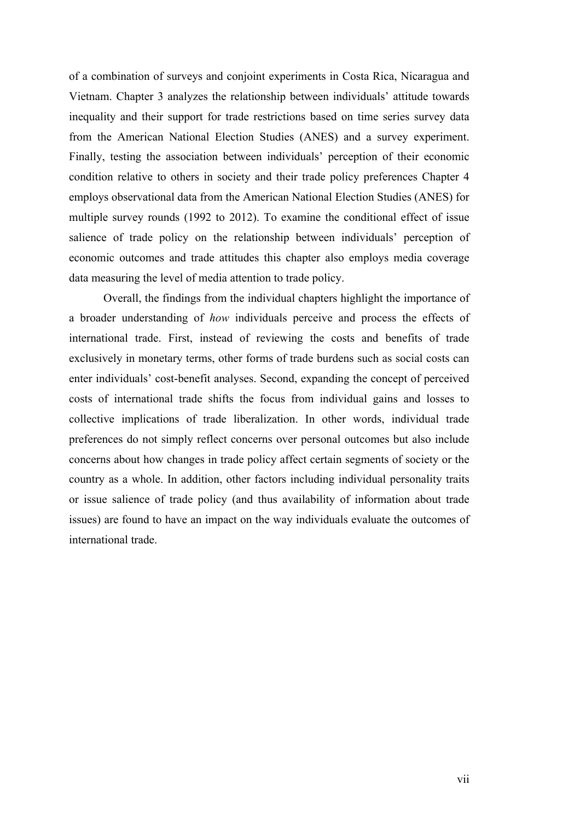of a combination of surveys and conjoint experiments in Costa Rica, Nicaragua and Vietnam. Chapter 3 analyzes the relationship between individuals' attitude towards inequality and their support for trade restrictions based on time series survey data from the American National Election Studies (ANES) and a survey experiment. Finally, testing the association between individuals' perception of their economic condition relative to others in society and their trade policy preferences Chapter 4 employs observational data from the American National Election Studies (ANES) for multiple survey rounds (1992 to 2012). To examine the conditional effect of issue salience of trade policy on the relationship between individuals' perception of economic outcomes and trade attitudes this chapter also employs media coverage data measuring the level of media attention to trade policy.

Overall, the findings from the individual chapters highlight the importance of a broader understanding of *how* individuals perceive and process the effects of international trade. First, instead of reviewing the costs and benefits of trade exclusively in monetary terms, other forms of trade burdens such as social costs can enter individuals' cost-benefit analyses. Second, expanding the concept of perceived costs of international trade shifts the focus from individual gains and losses to collective implications of trade liberalization. In other words, individual trade preferences do not simply reflect concerns over personal outcomes but also include concerns about how changes in trade policy affect certain segments of society or the country as a whole. In addition, other factors including individual personality traits or issue salience of trade policy (and thus availability of information about trade issues) are found to have an impact on the way individuals evaluate the outcomes of international trade.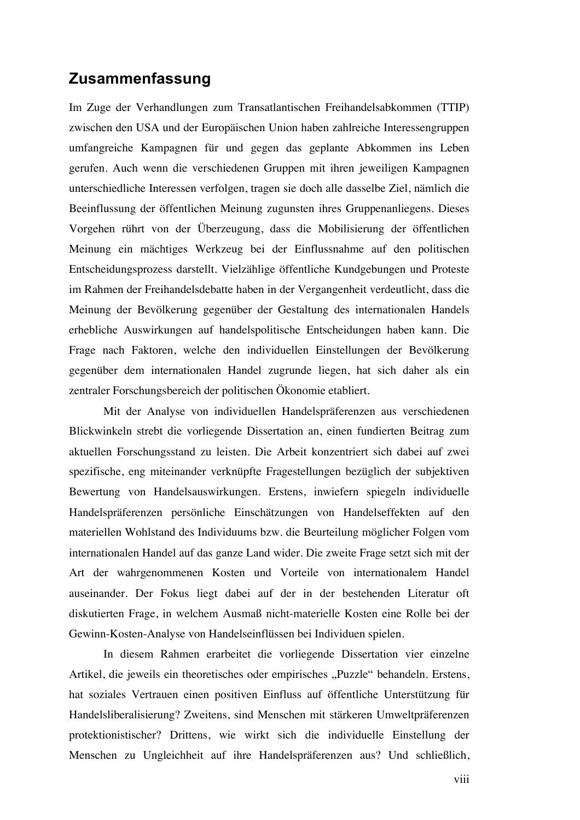#### **Zusammenfassung**

Im Zuge der Verhandlungen zum Transatlantischen Freihandelsabkommen (TTIP) zwischen den USA und der Europäischen Union haben zahlreiche Interessengruppen umfangreiche Kampagnen für und gegen das geplante Abkommen ins Leben gerufen. Auch wenn die verschiedenen Gruppen mit ihren jeweiligen Kampagnen unterschiedliche Interessen verfolgen, tragen sie doch alle dasselbe Ziel, nämlich die Beeinflussung der öffentlichen Meinung zugunsten ihres Gruppenanliegens. Dieses Vorgehen rührt von der Überzeugung, dass die Mobilisierung der öffentlichen Meinung ein mächtiges Werkzeug bei der Einflussnahme auf den politischen Entscheidungsprozess darstellt. Vielzählige öffentliche Kundgebungen und Proteste im Rahmen der Freihandelsdebatte haben in der Vergangenheit verdeutlicht, dass die Meinung der Bevölkerung gegenüber der Gestaltung des internationalen Handels erhebliche Auswirkungen auf handelspolitische Entscheidungen haben kann. Die Frage nach Faktoren, welche den individuellen Einstellungen der Bevölkerung gegenüber dem internationalen Handel zugrunde liegen, hat sich daher als ein zentraler Forschungsbereich der politischen Ökonomie etabliert.

Mit der Analyse von individuellen Handelspräferenzen aus verschiedenen Blickwinkeln strebt die vorliegende Dissertation an, einen fundierten Beitrag zum aktuellen Forschungsstand zu leisten. Die Arbeit konzentriert sich dabei auf zwei spezifische, eng miteinander verknüpfte Fragestellungen bezüglich der subjektiven Bewertung von Handelsauswirkungen. Erstens, inwiefern spiegeln individuelle Handelspräferenzen persönliche Einschätzungen von Handelseffekten auf den materiellen Wohlstand des Individuums bzw. die Beurteilung möglicher Folgen vom internationalen Handel auf das ganze Land wider. Die zweite Frage setzt sich mit der Art der wahrgenommenen Kosten und Vorteile von internationalem Handel auseinander. Der Fokus liegt dabei auf der in der bestehenden Literatur oft diskutierten Frage, in welchem Ausmaß nicht-materielle Kosten eine Rolle bei der Gewinn-Kosten-Analyse von Handelseinflüssen bei Individuen spielen.

In diesem Rahmen erarbeitet die vorliegende Dissertation vier einzelne Artikel, die jeweils ein theoretisches oder empirisches "Puzzle" behandeln. Erstens, hat soziales Vertrauen einen positiven Einfluss auf öffentliche Unterstützung für Handelsliberalisierung? Zweitens, sind Menschen mit stärkeren Umweltpräferenzen protektionistischer? Drittens, wie wirkt sich die individuelle Einstellung der Menschen zu Ungleichheit auf ihre Handelspräferenzen aus? Und schließlich,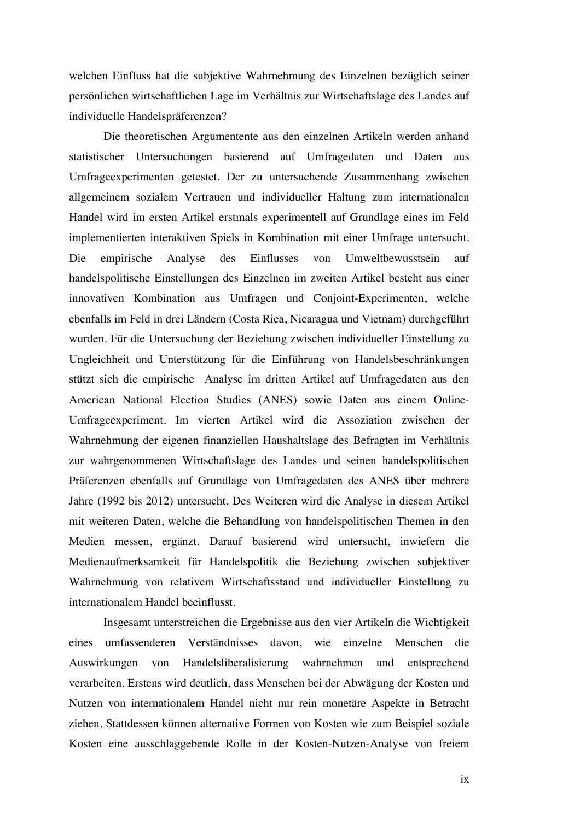welchen Einfluss hat die subjektive Wahrnehmung des Einzelnen bezüglich seiner persönlichen wirtschaftlichen Lage im Verhältnis zur Wirtschaftslage des Landes auf individuelle Handelspräferenzen?

Die theoretischen Argumentente aus den einzelnen Artikeln werden anhand statistischer Untersuchungen basierend auf Umfragedaten und Daten aus Umfrageexperimenten getestet. Der zu untersuchende Zusammenhang zwischen allgemeinem sozialem Vertrauen und individueller Haltung zum internationalen Handel wird im ersten Artikel erstmals experimentell auf Grundlage eines im Feld implementierten interaktiven Spiels in Kombination mit einer Umfrage untersucht. Die empirische Analyse des Einflusses von Umweltbewusstsein auf handelspolitische Einstellungen des Einzelnen im zweiten Artikel besteht aus einer innovativen Kombination aus Umfragen und Conjoint-Experimenten, welche ebenfalls im Feld in drei Ländern (Costa Rica, Nicaragua und Vietnam) durchgeführt wurden. Für die Untersuchung der Beziehung zwischen individueller Einstellung zu Ungleichheit und Unterstützung für die Einführung von Handelsbeschränkungen stützt sich die empirische Analyse im dritten Artikel auf Umfragedaten aus den American National Election Studies (ANES) sowie Daten aus einem Online-Umfrageexperiment. Im vierten Artikel wird die Assoziation zwischen der Wahrnehmung der eigenen finanziellen Haushaltslage des Befragten im Verhältnis zur wahrgenommenen Wirtschaftslage des Landes und seinen handelspolitischen Präferenzen ebenfalls auf Grundlage von Umfragedaten des ANES über mehrere Jahre (1992 bis 2012) untersucht. Des Weiteren wird die Analyse in diesem Artikel mit weiteren Daten, welche die Behandlung von handelspolitischen Themen in den Medien messen, ergänzt. Darauf basierend wird untersucht, inwiefern die Medienaufmerksamkeit für Handelspolitik die Beziehung zwischen subjektiver Wahrnehmung von relativem Wirtschaftsstand und individueller Einstellung zu internationalem Handel beeinflusst.

Insgesamt unterstreichen die Ergebnisse aus den vier Artikeln die Wichtigkeit eines umfassenderen Verständnisses davon, wie einzelne Menschen die Auswirkungen von Handelsliberalisierung wahrnehmen und entsprechend verarbeiten. Erstens wird deutlich, dass Menschen bei der Abwägung der Kosten und Nutzen von internationalem Handel nicht nur rein monetäre Aspekte in Betracht ziehen. Stattdessen können alternative Formen von Kosten wie zum Beispiel soziale Kosten eine ausschlaggebende Rolle in der Kosten-Nutzen-Analyse von freiem